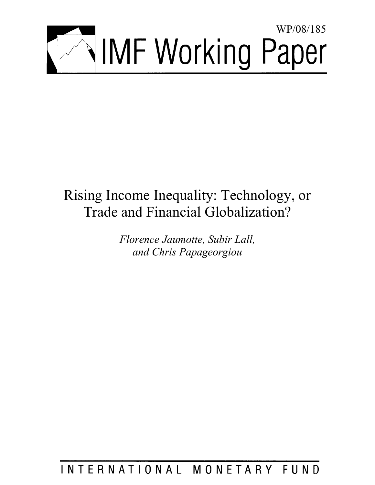

# Rising Income Inequality: Technology, or Trade and Financial Globalization?

*Florence Jaumotte, Subir Lall, and Chris Papageorgiou* 

## INTERNATIONAL MONETARY FUND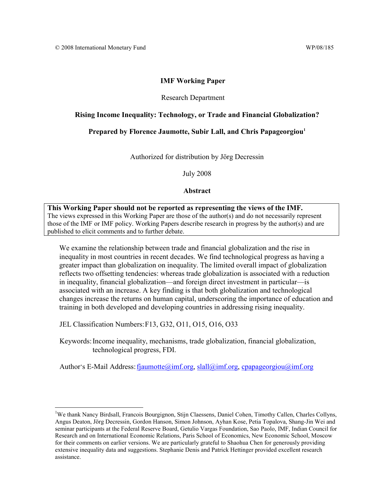## **IMF Working Paper**

#### Research Department

### **Rising Income Inequality: Technology, or Trade and Financial Globalization?**

## Prepared by Florence Jaumotte, Subir Lall, and Chris Papageorgiou<sup>1</sup>

Authorized for distribution by Jörg Decressin

July 2008

**Abstract**

**This Working Paper should not be reported as representing the views of the IMF.** The views expressed in this Working Paper are those of the author(s) and do not necessarily represent those of the IMF or IMF policy. Working Papers describe research in progress by the author(s) and are published to elicit comments and to further debate.

We examine the relationship between trade and financial globalization and the rise in inequality in most countries in recent decades. We find technological progress as having a greater impact than globalization on inequality. The limited overall impact of globalization reflects two offsetting tendencies: whereas trade globalization is associated with a reduction in inequality, financial globalization—and foreign direct investment in particular—is associated with an increase. A key finding is that both globalization and technological changes increase the returns on human capital, underscoring the importance of education and training in both developed and developing countries in addressing rising inequality.

JEL Classification Numbers: F13, G32, O11, O15, O16, O33

 $\overline{a}$ 

Keywords: Income inequality, mechanisms, trade globalization, financial globalization, technological progress, FDI.

Author's E-Mail Address: fjaumotte@imf.org, slall@imf.org, cpapageorgiou@imf.org

<sup>&</sup>lt;sup>1</sup>We thank Nancy Birdsall, Francois Bourgignon, Stijn Claessens, Daniel Cohen, Timothy Callen, Charles Collyns, Angus Deaton, Jörg Decressin, Gordon Hanson, Simon Johnson, Ayhan Kose, Petia Topalova, Shang-Jin Wei and seminar participants at the Federal Reserve Board, Getulio Vargas Foundation, Sao Paolo, IMF, Indian Council for Research and on International Economic Relations, Paris School of Economics, New Economic School, Moscow for their comments on earlier versions. We are particularly grateful to Shaohua Chen for generously providing extensive inequality data and suggestions. Stephanie Denis and Patrick Hettinger provided excellent research assistance.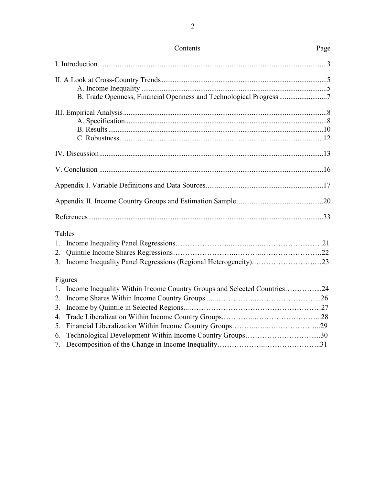| Tables                                                                     |  |
|----------------------------------------------------------------------------|--|
|                                                                            |  |
|                                                                            |  |
|                                                                            |  |
| Figures                                                                    |  |
| 1. Income Inequality Within Income Country Groups and Selected Countries24 |  |
|                                                                            |  |
|                                                                            |  |
|                                                                            |  |
|                                                                            |  |
| Technological Development Within Income Country Groups30<br>6.             |  |
|                                                                            |  |

## Contents Page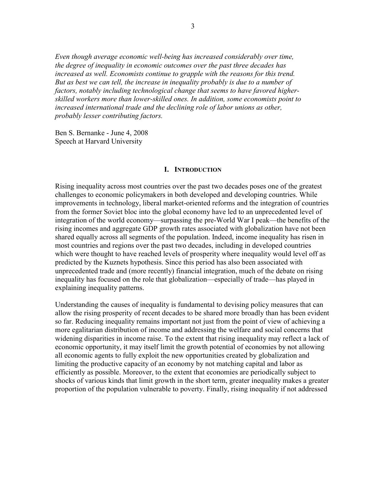*Even though average economic well-being has increased considerably over time, the degree of inequality in economic outcomes over the past three decades has increased as well. Economists continue to grapple with the reasons for this trend. But as best we can tell, the increase in inequality probably is due to a number of factors, notably including technological change that seems to have favored higherskilled workers more than lower-skilled ones. In addition, some economists point to*  increased international trade and the declining role of labor unions as other, *probably lesser contributing factors.* 

Ben S. Bernanke - June 4, 2008 Speech at Harvard University

#### **I. INTRODUCTION**

Rising inequality across most countries over the past two decades poses one of the greatest challenges to economic policymakers in both developed and developing countries. While improvements in technology, liberal market-oriented reforms and the integration of countries from the former Soviet bloc into the global economy have led to an unprecedented level of integration of the world economy—surpassing the pre-World War I peak—the benefits of the rising incomes and aggregate GDP growth rates associated with globalization have not been shared equally across all segments of the population. Indeed, income inequality has risen in most countries and regions over the past two decades, including in developed countries which were thought to have reached levels of prosperity where inequality would level off as predicted by the Kuznets hypothesis. Since this period has also been associated with unprecedented trade and (more recently) financial integration, much of the debate on rising inequality has focused on the role that globalization—especially of trade—has played in explaining inequality patterns.

Understanding the causes of inequality is fundamental to devising policy measures that can allow the rising prosperity of recent decades to be shared more broadly than has been evident so far. Reducing inequality remains important not just from the point of view of achieving a more egalitarian distribution of income and addressing the welfare and social concerns that widening disparities in income raise. To the extent that rising inequality may reflect a lack of economic opportunity, it may itself limit the growth potential of economies by not allowing all economic agents to fully exploit the new opportunities created by globalization and limiting the productive capacity of an economy by not matching capital and labor as efficiently as possible. Moreover, to the extent that economies are periodically subject to shocks of various kinds that limit growth in the short term, greater inequality makes a greater proportion of the population vulnerable to poverty. Finally, rising inequality if not addressed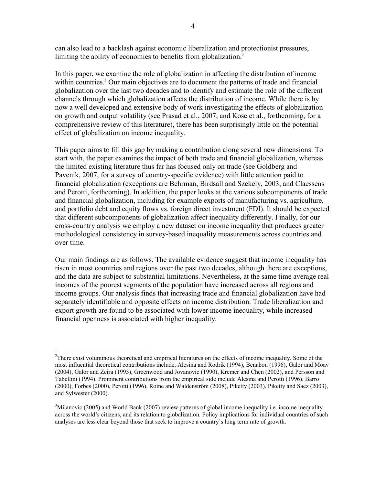can also lead to a backlash against economic liberalization and protectionist pressures, limiting the ability of economies to benefits from globalization.<sup>2</sup>

In this paper, we examine the role of globalization in affecting the distribution of income within countries.<sup>3</sup> Our main objectives are to document the patterns of trade and financial globalization over the last two decades and to identify and estimate the role of the different channels through which globalization affects the distribution of income. While there is by now a well developed and extensive body of work investigating the effects of globalization on growth and output volatility (see Prasad et al., 2007, and Kose et al., forthcoming, for a comprehensive review of this literature), there has been surprisingly little on the potential effect of globalization on income inequality.

This paper aims to fill this gap by making a contribution along several new dimensions: To start with, the paper examines the impact of both trade and financial globalization, whereas the limited existing literature thus far has focused only on trade (see Goldberg and Pavcnik, 2007, for a survey of country-specific evidence) with little attention paid to financial globalization (exceptions are Behrman, Birdsall and Szekely, 2003, and Claessens and Perotti, forthcoming). In addition, the paper looks at the various subcomponents of trade and financial globalization, including for example exports of manufacturing vs. agriculture, and portfolio debt and equity flows vs. foreign direct investment (FDI). It should be expected that different subcomponents of globalization affect inequality differently. Finally, for our cross-country analysis we employ a new dataset on income inequality that produces greater methodological consistency in survey-based inequality measurements across countries and over time.

Our main findings are as follows. The available evidence suggest that income inequality has risen in most countries and regions over the past two decades, although there are exceptions, and the data are subject to substantial limitations. Nevertheless, at the same time average real incomes of the poorest segments of the population have increased across all regions and income groups. Our analysis finds that increasing trade and financial globalization have had separately identifiable and opposite effects on income distribution. Trade liberalization and export growth are found to be associated with lower income inequality, while increased financial openness is associated with higher inequality.

 $2^2$ There exist voluminous theoretical and empirical literatures on the effects of income inequality. Some of the most influential theoretical contributions include, Alesina and Rodrik (1994), Benabou (1996), Galor and Moav (2004), Galor and Zeira (1993), Greenwood and Jovanovic (1990), Kremer and Chen (2002), and Persson and Tabellini (1994). Prominent contributions from the empirical side include Alesina and Perotti (1996), Barro (2000), Forbes (2000), Perotti (1996), Roine and Waldenström (2008), Piketty (2003), Piketty and Saez (2003), and Sylwester (2000).

 $3$ Milanovic (2005) and World Bank (2007) review patterns of global income inequality i.e. income inequality across the world's citizens, and its relation to globalization. Policy implications for individual countries of such analyses are less clear beyond those that seek to improve a country's long term rate of growth.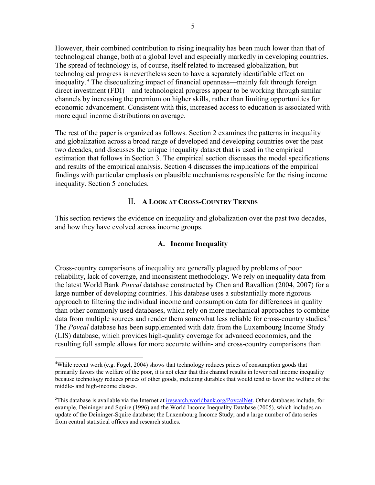However, their combined contribution to rising inequality has been much lower than that of technological change, both at a global level and especially markedly in developing countries. The spread of technology is, of course, itself related to increased globalization, but technological progress is nevertheless seen to have a separately identifiable effect on inequality. 4 The disequalizing impact of financial openness—mainly felt through foreign direct investment (FDI)—and technological progress appear to be working through similar channels by increasing the premium on higher skills, rather than limiting opportunities for economic advancement. Consistent with this, increased access to education is associated with more equal income distributions on average.

The rest of the paper is organized as follows. Section 2 examines the patterns in inequality and globalization across a broad range of developed and developing countries over the past two decades, and discusses the unique inequality dataset that is used in the empirical estimation that follows in Section 3. The empirical section discusses the model specifications and results of the empirical analysis. Section 4 discusses the implications of the empirical findings with particular emphasis on plausible mechanisms responsible for the rising income inequality. Section 5 concludes.

## II. **A LOOK AT CROSS-COUNTRY TRENDS**

This section reviews the evidence on inequality and globalization over the past two decades, and how they have evolved across income groups.

## **A. Income Inequality**

Cross-country comparisons of inequality are generally plagued by problems of poor reliability, lack of coverage, and inconsistent methodology. We rely on inequality data from the latest World Bank *Povcal* database constructed by Chen and Ravallion (2004, 2007) for a large number of developing countries. This database uses a substantially more rigorous approach to filtering the individual income and consumption data for differences in quality than other commonly used databases, which rely on more mechanical approaches to combine data from multiple sources and render them somewhat less reliable for cross-country studies.<sup>5</sup> The *Povcal* database has been supplemented with data from the Luxembourg Income Study (LIS) database, which provides high-quality coverage for advanced economies, and the resulting full sample allows for more accurate within- and cross-country comparisons than

<u>.</u>

<sup>&</sup>lt;sup>4</sup>While recent work (e.g. Fogel, 2004) shows that technology reduces prices of consumption goods that primarily favors the welfare of the poor, it is not clear that this channel results in lower real income inequality because technology reduces prices of other goods, including durables that would tend to favor the welfare of the middle- and high-income classes.

<sup>&</sup>lt;sup>5</sup>This database is available via the Internet at *iresearch.worldbank.org/PovcalNet*. Other databases include, for example, Deininger and Squire (1996) and the World Income Inequality Database (2005), which includes an update of the Deininger-Squire database; the Luxembourg Income Study; and a large number of data series from central statistical offices and research studies.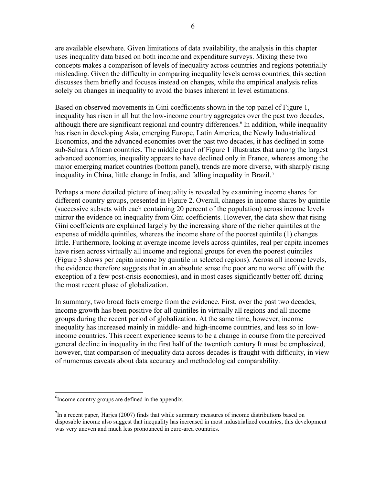are available elsewhere. Given limitations of data availability, the analysis in this chapter uses inequality data based on both income and expenditure surveys. Mixing these two concepts makes a comparison of levels of inequality across countries and regions potentially misleading. Given the difficulty in comparing inequality levels across countries, this section discusses them briefly and focuses instead on changes, while the empirical analysis relies solely on changes in inequality to avoid the biases inherent in level estimations.

Based on observed movements in Gini coefficients shown in the top panel of Figure 1, inequality has risen in all but the low-income country aggregates over the past two decades, although there are significant regional and country differences.<sup>6</sup> In addition, while inequality has risen in developing Asia, emerging Europe, Latin America, the Newly Industrialized Economics, and the advanced economies over the past two decades, it has declined in some sub-Sahara African countries. The middle panel of Figure 1 illustrates that among the largest advanced economies, inequality appears to have declined only in France, whereas among the major emerging market countries (bottom panel), trends are more diverse, with sharply rising inequality in China, little change in India, and falling inequality in Brazil. 7

Perhaps a more detailed picture of inequality is revealed by examining income shares for different country groups, presented in Figure 2. Overall, changes in income shares by quintile (successive subsets with each containing 20 percent of the population) across income levels mirror the evidence on inequality from Gini coefficients. However, the data show that rising Gini coefficients are explained largely by the increasing share of the richer quintiles at the expense of middle quintiles, whereas the income share of the poorest quintile (1) changes little. Furthermore, looking at average income levels across quintiles, real per capita incomes have risen across virtually all income and regional groups for even the poorest quintiles (Figure 3 shows per capita income by quintile in selected regions). Across all income levels, the evidence therefore suggests that in an absolute sense the poor are no worse off (with the exception of a few post-crisis economies), and in most cases significantly better off, during the most recent phase of globalization.

In summary, two broad facts emerge from the evidence. First, over the past two decades, income growth has been positive for all quintiles in virtually all regions and all income groups during the recent period of globalization. At the same time, however, income inequality has increased mainly in middle- and high-income countries, and less so in lowincome countries. This recent experience seems to be a change in course from the perceived general decline in inequality in the first half of the twentieth century It must be emphasized, however, that comparison of inequality data across decades is fraught with difficulty, in view of numerous caveats about data accuracy and methodological comparability.

<sup>&</sup>lt;sup>6</sup>Income country groups are defined in the appendix.

 $^{7}$ In a recent paper, Harjes (2007) finds that while summary measures of income distributions based on disposable income also suggest that inequality has increased in most industrialized countries, this development was very uneven and much less pronounced in euro-area countries.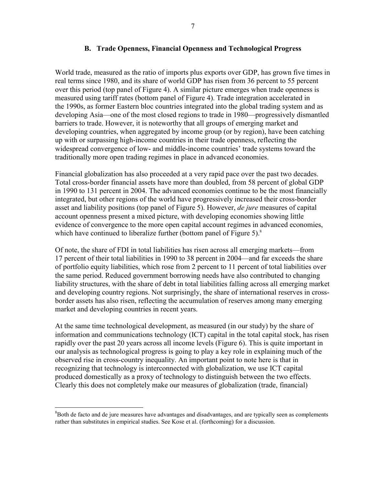## **B. Trade Openness, Financial Openness and Technological Progress**

World trade, measured as the ratio of imports plus exports over GDP, has grown five times in real terms since 1980, and its share of world GDP has risen from 36 percent to 55 percent over this period (top panel of Figure 4). A similar picture emerges when trade openness is measured using tariff rates (bottom panel of Figure 4). Trade integration accelerated in the 1990s, as former Eastern bloc countries integrated into the global trading system and as developing Asia—one of the most closed regions to trade in 1980—progressively dismantled barriers to trade. However, it is noteworthy that all groups of emerging market and developing countries, when aggregated by income group (or by region), have been catching up with or surpassing high-income countries in their trade openness, reflecting the widespread convergence of low- and middle-income countries' trade systems toward the traditionally more open trading regimes in place in advanced economies.

Financial globalization has also proceeded at a very rapid pace over the past two decades. Total cross-border financial assets have more than doubled, from 58 percent of global GDP in 1990 to 131 percent in 2004. The advanced economies continue to be the most financially integrated, but other regions of the world have progressively increased their cross-border asset and liability positions (top panel of Figure 5). However, *de jure* measures of capital account openness present a mixed picture, with developing economies showing little evidence of convergence to the more open capital account regimes in advanced economies, which have continued to liberalize further (bottom panel of Figure 5). $8$ 

Of note, the share of FDI in total liabilities has risen across all emerging markets—from 17 percent of their total liabilities in 1990 to 38 percent in 2004—and far exceeds the share of portfolio equity liabilities, which rose from 2 percent to 11 percent of total liabilities over the same period. Reduced government borrowing needs have also contributed to changing liability structures, with the share of debt in total liabilities falling across all emerging market and developing country regions. Not surprisingly, the share of international reserves in crossborder assets has also risen, reflecting the accumulation of reserves among many emerging market and developing countries in recent years.

At the same time technological development, as measured (in our study) by the share of information and communications technology (ICT) capital in the total capital stock, has risen rapidly over the past 20 years across all income levels (Figure 6). This is quite important in our analysis as technological progress is going to play a key role in explaining much of the observed rise in cross-country inequality. An important point to note here is that in recognizing that technology is interconnected with globalization, we use ICT capital produced domestically as a proxy of technology to distinguish between the two effects. Clearly this does not completely make our measures of globalization (trade, financial)

<sup>&</sup>lt;sup>8</sup>Both de facto and de jure measures have advantages and disadvantages, and are typically seen as complements rather than substitutes in empirical studies. See Kose et al. (forthcoming) for a discussion.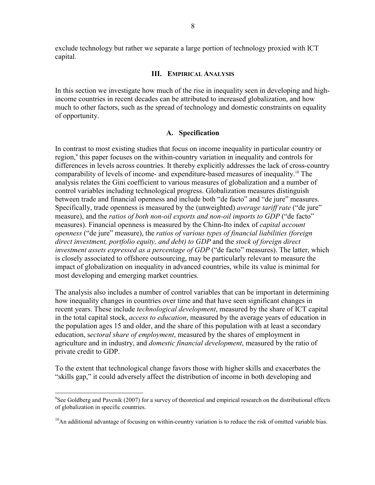exclude technology but rather we separate a large portion of technology proxied with ICT capital.

#### **III. EMPIRICAL ANALYSIS**

In this section we investigate how much of the rise in inequality seen in developing and highincome countries in recent decades can be attributed to increased globalization, and how much to other factors, such as the spread of technology and domestic constraints on equality of opportunity.

## **A. Specification**

In contrast to most existing studies that focus on income inequality in particular country or region,<sup>9</sup> this paper focuses on the within-country variation in inequality and controls for differences in levels across countries. It thereby explicitly addresses the lack of cross-country comparability of levels of income- and expenditure-based measures of inequality.10 The analysis relates the Gini coefficient to various measures of globalization and a number of control variables including technological progress. Globalization measures distinguish between trade and financial openness and include both "de facto" and "de jure" measures. Specifically, trade openness is measured by the (unweighted) *average tariff rate* ("de jure" measure), and the *ratios of both non-oil exports and non-oil imports to GDP* ("de facto" measures). Financial openness is measured by the Chinn-Ito index of *capital account openness* ("de jure" measure), the *ratios of various types of financial liabilities (foreign direct investment, portfolio equity, and debt) to GDP* and the *stock of foreign direct investment assets expressed as a percentage of GDP* ("de facto" measures). The latter, which is closely associated to offshore outsourcing, may be particularly relevant to measure the impact of globalization on inequality in advanced countries, while its value is minimal for most developing and emerging market countries.

The analysis also includes a number of control variables that can be important in determining how inequality changes in countries over time and that have seen significant changes in recent years. These include *technological development*, measured by the share of ICT capital in the total capital stock, *access to education*, measured by the average years of education in the population ages 15 and older, and the share of this population with at least a secondary education, s*ectoral share of employment*, measured by the shares of employment in agriculture and in industry, and *domestic financial development*, measured by the ratio of private credit to GDP.

To the extent that technological change favors those with higher skills and exacerbates the "skills gap," it could adversely affect the distribution of income in both developing and

<sup>&</sup>lt;sup>9</sup>See Goldberg and Pavcnik (2007) for a survey of theoretical and empirical research on the distributional effects of globalization in specific countries.

 $10$ An additional advantage of focusing on within-country variation is to reduce the risk of omitted variable bias.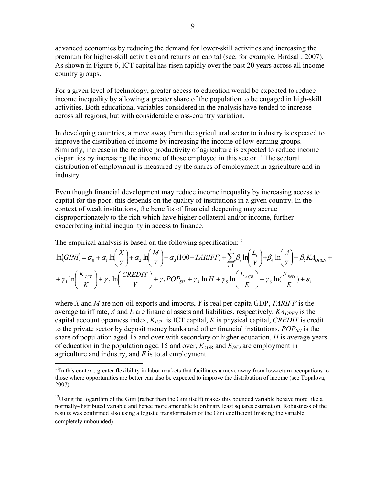advanced economies by reducing the demand for lower-skill activities and increasing the premium for higher-skill activities and returns on capital (see, for example, Birdsall, 2007). As shown in Figure 6, ICT capital has risen rapidly over the past 20 years across all income country groups.

For a given level of technology, greater access to education would be expected to reduce income inequality by allowing a greater share of the population to be engaged in high-skill activities. Both educational variables considered in the analysis have tended to increase across all regions, but with considerable cross-country variation.

In developing countries, a move away from the agricultural sector to industry is expected to improve the distribution of income by increasing the income of low-earning groups. Similarly, increase in the relative productivity of agriculture is expected to reduce income disparities by increasing the income of those employed in this sector.<sup>11</sup> The sectoral distribution of employment is measured by the shares of employment in agriculture and in industry.

Even though financial development may reduce income inequality by increasing access to capital for the poor, this depends on the quality of institutions in a given country. In the context of weak institutions, the benefits of financial deepening may accrue disproportionately to the rich which have higher collateral and/or income, further exacerbating initial inequality in access to finance.

The empirical analysis is based on the following specification: $12$ 

1

$$
\ln(GINI) = \alpha_0 + \alpha_1 \ln\left(\frac{X}{Y}\right) + \alpha_2 \ln\left(\frac{M}{Y}\right) + \alpha_3 (100 - \text{LARIFF}) + \sum_{i=1}^3 \beta_i \ln\left(\frac{L_i}{Y}\right) + \beta_4 \ln\left(\frac{A}{Y}\right) + \beta_5 KA_{OPEN} + \gamma_1 \ln\left(\frac{K_{ICT}}{K}\right) + \gamma_2 \ln\left(\frac{CREDIT}{Y}\right) + \gamma_3 POP_{SH} + \gamma_4 \ln H + \gamma_5 \ln\left(\frac{E_{AGR}}{E}\right) + \gamma_6 \ln\left(\frac{E_{NDD}}{E}\right) + \varepsilon,
$$

where *X* and *M* are non-oil exports and imports, *Y* is real per capita GDP, *TARIFF* is the average tariff rate,  $A$  and  $L$  are financial assets and liabilities, respectively,  $KA_{OPEN}$  is the capital account openness index, *KICT* is ICT capital, *K* is physical capital, *CREDIT* is credit to the private sector by deposit money banks and other financial institutions, *POP<sub>SH</sub>* is the share of population aged 15 and over with secondary or higher education, *H* is average years of education in the population aged 15 and over, *EAG*R and *EIN*D are employment in agriculture and industry, and *E* is total employment.

 $11$ In this context, greater flexibility in labor markets that facilitates a move away from low-return occupations to those where opportunities are better can also be expected to improve the distribution of income (see Topalova, 2007).

<sup>&</sup>lt;sup>12</sup>Using the logarithm of the Gini (rather than the Gini itself) makes this bounded variable behave more like a normally-distributed variable and hence more amenable to ordinary least squares estimation. Robustness of the results was confirmed also using a logistic transformation of the Gini coefficient (making the variable completely unbounded).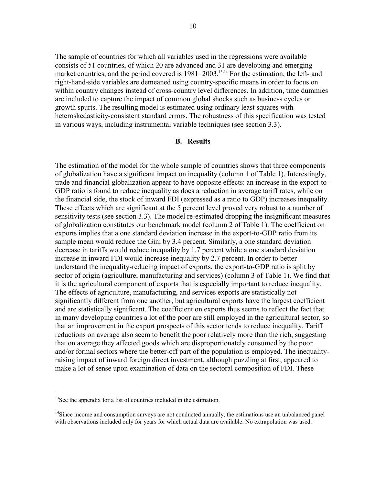The sample of countries for which all variables used in the regressions were available consists of 51 countries, of which 20 are advanced and 31 are developing and emerging market countries, and the period covered is 1981–2003.<sup>13,14</sup> For the estimation, the left- and right-hand-side variables are demeaned using country-specific means in order to focus on within country changes instead of cross-country level differences. In addition, time dummies are included to capture the impact of common global shocks such as business cycles or growth spurts. The resulting model is estimated using ordinary least squares with heteroskedasticity-consistent standard errors. The robustness of this specification was tested in various ways, including instrumental variable techniques (see section 3.3).

#### **B. Results**

The estimation of the model for the whole sample of countries shows that three components of globalization have a significant impact on inequality (column 1 of Table 1). Interestingly, trade and financial globalization appear to have opposite effects: an increase in the export-to-GDP ratio is found to reduce inequality as does a reduction in average tariff rates, while on the financial side, the stock of inward FDI (expressed as a ratio to GDP) increases inequality. These effects which are significant at the 5 percent level proved very robust to a number of sensitivity tests (see section 3.3). The model re-estimated dropping the insignificant measures of globalization constitutes our benchmark model (column 2 of Table 1). The coefficient on exports implies that a one standard deviation increase in the export-to-GDP ratio from its sample mean would reduce the Gini by 3.4 percent. Similarly, a one standard deviation decrease in tariffs would reduce inequality by 1.7 percent while a one standard deviation increase in inward FDI would increase inequality by 2.7 percent. In order to better understand the inequality-reducing impact of exports, the export-to-GDP ratio is split by sector of origin (agriculture, manufacturing and services) (column 3 of Table 1). We find that it is the agricultural component of exports that is especially important to reduce inequality. The effects of agriculture, manufacturing, and services exports are statistically not significantly different from one another, but agricultural exports have the largest coefficient and are statistically significant. The coefficient on exports thus seems to reflect the fact that in many developing countries a lot of the poor are still employed in the agricultural sector, so that an improvement in the export prospects of this sector tends to reduce inequality. Tariff reductions on average also seem to benefit the poor relatively more than the rich, suggesting that on average they affected goods which are disproportionately consumed by the poor and/or formal sectors where the better-off part of the population is employed. The inequalityraising impact of inward foreign direct investment, although puzzling at first, appeared to make a lot of sense upon examination of data on the sectoral composition of FDI. These

<sup>&</sup>lt;sup>13</sup>See the appendix for a list of countries included in the estimation.

<sup>&</sup>lt;sup>14</sup>Since income and consumption surveys are not conducted annually, the estimations use an unbalanced panel with observations included only for years for which actual data are available. No extrapolation was used.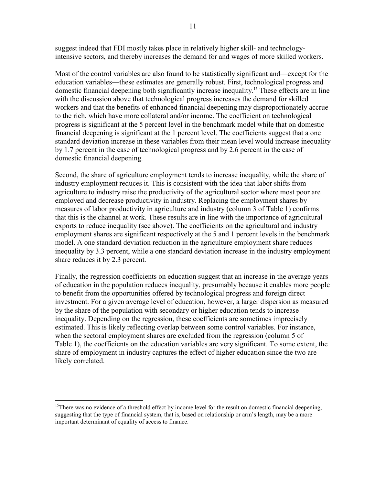suggest indeed that FDI mostly takes place in relatively higher skill- and technologyintensive sectors, and thereby increases the demand for and wages of more skilled workers.

Most of the control variables are also found to be statistically significant and—except for the education variables—these estimates are generally robust. First, technological progress and domestic financial deepening both significantly increase inequality.<sup>15</sup> These effects are in line with the discussion above that technological progress increases the demand for skilled workers and that the benefits of enhanced financial deepening may disproportionately accrue to the rich, which have more collateral and/or income. The coefficient on technological progress is significant at the 5 percent level in the benchmark model while that on domestic financial deepening is significant at the 1 percent level. The coefficients suggest that a one standard deviation increase in these variables from their mean level would increase inequality by 1.7 percent in the case of technological progress and by 2.6 percent in the case of domestic financial deepening.

Second, the share of agriculture employment tends to increase inequality, while the share of industry employment reduces it. This is consistent with the idea that labor shifts from agriculture to industry raise the productivity of the agricultural sector where most poor are employed and decrease productivity in industry. Replacing the employment shares by measures of labor productivity in agriculture and industry (column 3 of Table 1) confirms that this is the channel at work. These results are in line with the importance of agricultural exports to reduce inequality (see above). The coefficients on the agricultural and industry employment shares are significant respectively at the 5 and 1 percent levels in the benchmark model. A one standard deviation reduction in the agriculture employment share reduces inequality by 3.3 percent, while a one standard deviation increase in the industry employment share reduces it by 2.3 percent.

Finally, the regression coefficients on education suggest that an increase in the average years of education in the population reduces inequality, presumably because it enables more people to benefit from the opportunities offered by technological progress and foreign direct investment. For a given average level of education, however, a larger dispersion as measured by the share of the population with secondary or higher education tends to increase inequality. Depending on the regression, these coefficients are sometimes imprecisely estimated. This is likely reflecting overlap between some control variables. For instance, when the sectoral employment shares are excluded from the regression (column 5 of Table 1), the coefficients on the education variables are very significant. To some extent, the share of employment in industry captures the effect of higher education since the two are likely correlated.

1

<sup>&</sup>lt;sup>15</sup>There was no evidence of a threshold effect by income level for the result on domestic financial deepening, suggesting that the type of financial system, that is, based on relationship or arm's length, may be a more important determinant of equality of access to finance.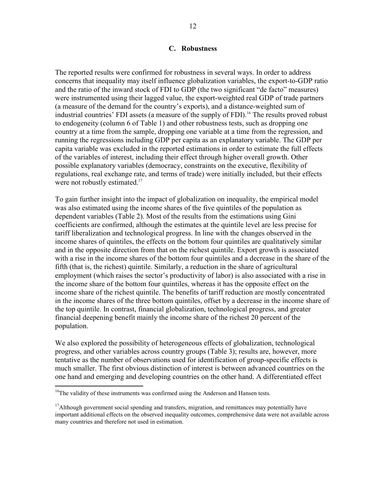#### **C. Robustness**

The reported results were confirmed for robustness in several ways. In order to address concerns that inequality may itself influence globalization variables, the export-to-GDP ratio and the ratio of the inward stock of FDI to GDP (the two significant "de facto" measures) were instrumented using their lagged value, the export-weighted real GDP of trade partners (a measure of the demand for the country's exports), and a distance-weighted sum of industrial countries' FDI assets (a measure of the supply of FDI).<sup>16</sup> The results proved robust to endogeneity (column 6 of Table 1) and other robustness tests, such as dropping one country at a time from the sample, dropping one variable at a time from the regression, and running the regressions including GDP per capita as an explanatory variable. The GDP per capita variable was excluded in the reported estimations in order to estimate the full effects of the variables of interest, including their effect through higher overall growth. Other possible explanatory variables (democracy, constraints on the executive, flexibility of regulations, real exchange rate, and terms of trade) were initially included, but their effects were not robustly estimated.<sup>17</sup>

To gain further insight into the impact of globalization on inequality, the empirical model was also estimated using the income shares of the five quintiles of the population as dependent variables (Table 2). Most of the results from the estimations using Gini coefficients are confirmed, although the estimates at the quintile level are less precise for tariff liberalization and technological progress. In line with the changes observed in the income shares of quintiles, the effects on the bottom four quintiles are qualitatively similar and in the opposite direction from that on the richest quintile. Export growth is associated with a rise in the income shares of the bottom four quintiles and a decrease in the share of the fifth (that is, the richest) quintile. Similarly, a reduction in the share of agricultural employment (which raises the sector's productivity of labor) is also associated with a rise in the income share of the bottom four quintiles, whereas it has the opposite effect on the income share of the richest quintile. The benefits of tariff reduction are mostly concentrated in the income shares of the three bottom quintiles, offset by a decrease in the income share of the top quintile. In contrast, financial globalization, technological progress, and greater financial deepening benefit mainly the income share of the richest 20 percent of the population.

We also explored the possibility of heterogeneous effects of globalization, technological progress, and other variables across country groups (Table 3); results are, however, more tentative as the number of observations used for identification of group-specific effects is much smaller. The first obvious distinction of interest is between advanced countries on the one hand and emerging and developing countries on the other hand. A differentiated effect

1

 $16$ The validity of these instruments was confirmed using the Anderson and Hansen tests.

 $17$ Although government social spending and transfers, migration, and remittances may potentially have important additional effects on the observed inequality outcomes, comprehensive data were not available across many countries and therefore not used in estimation.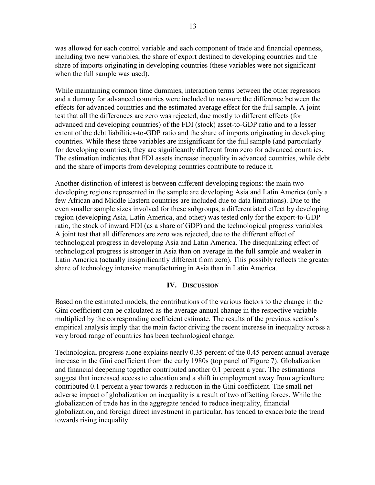was allowed for each control variable and each component of trade and financial openness, including two new variables, the share of export destined to developing countries and the share of imports originating in developing countries (these variables were not significant when the full sample was used).

While maintaining common time dummies, interaction terms between the other regressors and a dummy for advanced countries were included to measure the difference between the effects for advanced countries and the estimated average effect for the full sample. A joint test that all the differences are zero was rejected, due mostly to different effects (for advanced and developing countries) of the FDI (stock) asset-to-GDP ratio and to a lesser extent of the debt liabilities-to-GDP ratio and the share of imports originating in developing countries. While these three variables are insignificant for the full sample (and particularly for developing countries), they are significantly different from zero for advanced countries. The estimation indicates that FDI assets increase inequality in advanced countries, while debt and the share of imports from developing countries contribute to reduce it.

Another distinction of interest is between different developing regions: the main two developing regions represented in the sample are developing Asia and Latin America (only a few African and Middle Eastern countries are included due to data limitations). Due to the even smaller sample sizes involved for these subgroups, a differentiated effect by developing region (developing Asia, Latin America, and other) was tested only for the export-to-GDP ratio, the stock of inward FDI (as a share of GDP) and the technological progress variables. A joint test that all differences are zero was rejected, due to the different effect of technological progress in developing Asia and Latin America. The disequalizing effect of technological progress is stronger in Asia than on average in the full sample and weaker in Latin America (actually insignificantly different from zero). This possibly reflects the greater share of technology intensive manufacturing in Asia than in Latin America.

## **IV. DISCUSSION**

Based on the estimated models, the contributions of the various factors to the change in the Gini coefficient can be calculated as the average annual change in the respective variable multiplied by the corresponding coefficient estimate. The results of the previous section's empirical analysis imply that the main factor driving the recent increase in inequality across a very broad range of countries has been technological change.

Technological progress alone explains nearly 0.35 percent of the 0.45 percent annual average increase in the Gini coefficient from the early 1980s (top panel of Figure 7). Globalization and financial deepening together contributed another 0.1 percent a year. The estimations suggest that increased access to education and a shift in employment away from agriculture contributed 0.1 percent a year towards a reduction in the Gini coefficient. The small net adverse impact of globalization on inequality is a result of two offsetting forces. While the globalization of trade has in the aggregate tended to reduce inequality, financial globalization, and foreign direct investment in particular, has tended to exacerbate the trend towards rising inequality.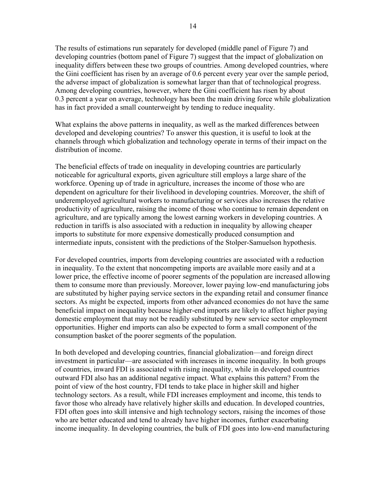The results of estimations run separately for developed (middle panel of Figure 7) and developing countries (bottom panel of Figure 7) suggest that the impact of globalization on inequality differs between these two groups of countries. Among developed countries, where the Gini coefficient has risen by an average of 0.6 percent every year over the sample period, the adverse impact of globalization is somewhat larger than that of technological progress. Among developing countries, however, where the Gini coefficient has risen by about 0.3 percent a year on average, technology has been the main driving force while globalization has in fact provided a small counterweight by tending to reduce inequality.

What explains the above patterns in inequality, as well as the marked differences between developed and developing countries? To answer this question, it is useful to look at the channels through which globalization and technology operate in terms of their impact on the distribution of income.

The beneficial effects of trade on inequality in developing countries are particularly noticeable for agricultural exports, given agriculture still employs a large share of the workforce. Opening up of trade in agriculture, increases the income of those who are dependent on agriculture for their livelihood in developing countries. Moreover, the shift of underemployed agricultural workers to manufacturing or services also increases the relative productivity of agriculture, raising the income of those who continue to remain dependent on agriculture, and are typically among the lowest earning workers in developing countries. A reduction in tariffs is also associated with a reduction in inequality by allowing cheaper imports to substitute for more expensive domestically produced consumption and intermediate inputs, consistent with the predictions of the Stolper-Samuelson hypothesis.

For developed countries, imports from developing countries are associated with a reduction in inequality. To the extent that noncompeting imports are available more easily and at a lower price, the effective income of poorer segments of the population are increased allowing them to consume more than previously. Moreover, lower paying low-end manufacturing jobs are substituted by higher paying service sectors in the expanding retail and consumer finance sectors. As might be expected, imports from other advanced economies do not have the same beneficial impact on inequality because higher-end imports are likely to affect higher paying domestic employment that may not be readily substituted by new service sector employment opportunities. Higher end imports can also be expected to form a small component of the consumption basket of the poorer segments of the population.

In both developed and developing countries, financial globalization—and foreign direct investment in particular—are associated with increases in income inequality. In both groups of countries, inward FDI is associated with rising inequality, while in developed countries outward FDI also has an additional negative impact. What explains this pattern? From the point of view of the host country, FDI tends to take place in higher skill and higher technology sectors. As a result, while FDI increases employment and income, this tends to favor those who already have relatively higher skills and education. In developed countries, FDI often goes into skill intensive and high technology sectors, raising the incomes of those who are better educated and tend to already have higher incomes, further exacerbating income inequality. In developing countries, the bulk of FDI goes into low-end manufacturing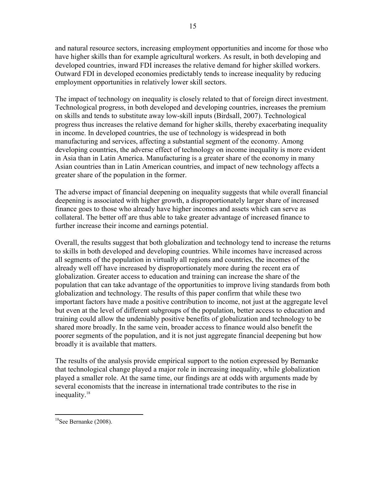and natural resource sectors, increasing employment opportunities and income for those who have higher skills than for example agricultural workers. As result, in both developing and developed countries, inward FDI increases the relative demand for higher skilled workers. Outward FDI in developed economies predictably tends to increase inequality by reducing employment opportunities in relatively lower skill sectors.

The impact of technology on inequality is closely related to that of foreign direct investment. Technological progress, in both developed and developing countries, increases the premium on skills and tends to substitute away low-skill inputs (Birdsall, 2007). Technological progress thus increases the relative demand for higher skills, thereby exacerbating inequality in income. In developed countries, the use of technology is widespread in both manufacturing and services, affecting a substantial segment of the economy. Among developing countries, the adverse effect of technology on income inequality is more evident in Asia than in Latin America. Manufacturing is a greater share of the economy in many Asian countries than in Latin American countries, and impact of new technology affects a greater share of the population in the former.

The adverse impact of financial deepening on inequality suggests that while overall financial deepening is associated with higher growth, a disproportionately larger share of increased finance goes to those who already have higher incomes and assets which can serve as collateral. The better off are thus able to take greater advantage of increased finance to further increase their income and earnings potential.

Overall, the results suggest that both globalization and technology tend to increase the returns to skills in both developed and developing countries. While incomes have increased across all segments of the population in virtually all regions and countries, the incomes of the already well off have increased by disproportionately more during the recent era of globalization. Greater access to education and training can increase the share of the population that can take advantage of the opportunities to improve living standards from both globalization and technology. The results of this paper confirm that while these two important factors have made a positive contribution to income, not just at the aggregate level but even at the level of different subgroups of the population, better access to education and training could allow the undeniably positive benefits of globalization and technology to be shared more broadly. In the same vein, broader access to finance would also benefit the poorer segments of the population, and it is not just aggregate financial deepening but how broadly it is available that matters.

The results of the analysis provide empirical support to the notion expressed by Bernanke that technological change played a major role in increasing inequality, while globalization played a smaller role. At the same time, our findings are at odds with arguments made by several economists that the increase in international trade contributes to the rise in inequality.<sup>18</sup>

<sup>&</sup>lt;sup>18</sup>See Bernanke (2008).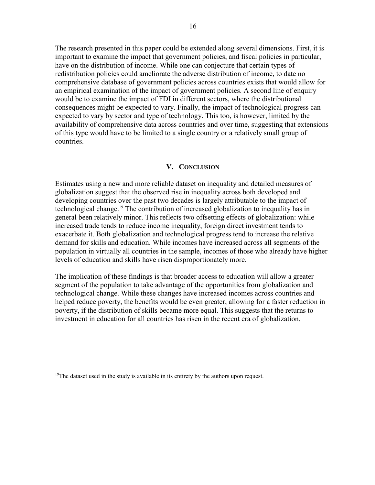The research presented in this paper could be extended along several dimensions. First, it is important to examine the impact that government policies, and fiscal policies in particular, have on the distribution of income. While one can conjecture that certain types of redistribution policies could ameliorate the adverse distribution of income, to date no comprehensive database of government policies across countries exists that would allow for an empirical examination of the impact of government policies. A second line of enquiry would be to examine the impact of FDI in different sectors, where the distributional consequences might be expected to vary. Finally, the impact of technological progress can expected to vary by sector and type of technology. This too, is however, limited by the availability of comprehensive data across countries and over time, suggesting that extensions of this type would have to be limited to a single country or a relatively small group of countries.

## **V. CONCLUSION**

Estimates using a new and more reliable dataset on inequality and detailed measures of globalization suggest that the observed rise in inequality across both developed and developing countries over the past two decades is largely attributable to the impact of technological change.19 The contribution of increased globalization to inequality has in general been relatively minor. This reflects two offsetting effects of globalization: while increased trade tends to reduce income inequality, foreign direct investment tends to exacerbate it. Both globalization and technological progress tend to increase the relative demand for skills and education. While incomes have increased across all segments of the population in virtually all countries in the sample, incomes of those who already have higher levels of education and skills have risen disproportionately more.

The implication of these findings is that broader access to education will allow a greater segment of the population to take advantage of the opportunities from globalization and technological change. While these changes have increased incomes across countries and helped reduce poverty, the benefits would be even greater, allowing for a faster reduction in poverty, if the distribution of skills became more equal. This suggests that the returns to investment in education for all countries has risen in the recent era of globalization.

 $19$ The dataset used in the study is available in its entirety by the authors upon request.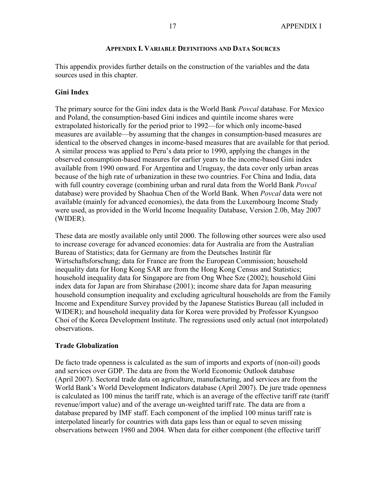#### **APPENDIX I. VARIABLE DEFINITIONS AND DATA SOURCES**

This appendix provides further details on the construction of the variables and the data sources used in this chapter.

#### **Gini Index**

The primary source for the Gini index data is the World Bank *Povcal* database. For Mexico and Poland, the consumption-based Gini indices and quintile income shares were extrapolated historically for the period prior to 1992—for which only income-based measures are available—by assuming that the changes in consumption-based measures are identical to the observed changes in income-based measures that are available for that period. A similar process was applied to Peru's data prior to 1990, applying the changes in the observed consumption-based measures for earlier years to the income-based Gini index available from 1990 onward. For Argentina and Uruguay, the data cover only urban areas because of the high rate of urbanization in these two countries. For China and India, data with full country coverage (combining urban and rural data from the World Bank *Povcal* database) were provided by Shaohua Chen of the World Bank. When *Povcal* data were not available (mainly for advanced economies), the data from the Luxembourg Income Study were used, as provided in the World Income Inequality Database, Version 2.0b, May 2007 (WIDER).

These data are mostly available only until 2000. The following other sources were also used to increase coverage for advanced economies: data for Australia are from the Australian Bureau of Statistics; data for Germany are from the Deutsches Institüt für Wirtschaftsforschung; data for France are from the European Commission; household inequality data for Hong Kong SAR are from the Hong Kong Census and Statistics; household inequality data for Singapore are from Ong Whee Sze (2002); household Gini index data for Japan are from Shirahase (2001); income share data for Japan measuring household consumption inequality and excluding agricultural households are from the Family Income and Expenditure Survey provided by the Japanese Statistics Bureau (all included in WIDER); and household inequality data for Korea were provided by Professor Kyungsoo Choi of the Korea Development Institute. The regressions used only actual (not interpolated) observations.

#### **Trade Globalization**

De facto trade openness is calculated as the sum of imports and exports of (non-oil) goods and services over GDP. The data are from the World Economic Outlook database (April 2007). Sectoral trade data on agriculture, manufacturing, and services are from the World Bank's World Development Indicators database (April 2007). De jure trade openness is calculated as 100 minus the tariff rate, which is an average of the effective tariff rate (tariff revenue/import value) and of the average un-weighted tariff rate. The data are from a database prepared by IMF staff. Each component of the implied 100 minus tariff rate is interpolated linearly for countries with data gaps less than or equal to seven missing observations between 1980 and 2004. When data for either component (the effective tariff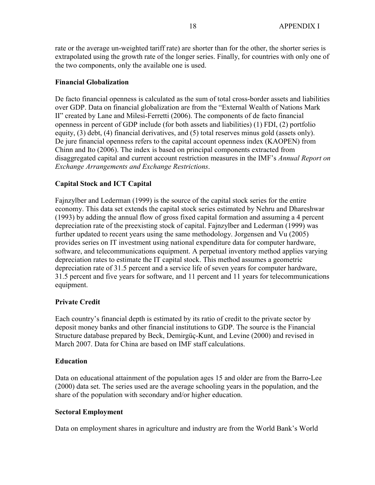rate or the average un-weighted tariff rate) are shorter than for the other, the shorter series is extrapolated using the growth rate of the longer series. Finally, for countries with only one of the two components, only the available one is used.

## **Financial Globalization**

De facto financial openness is calculated as the sum of total cross-border assets and liabilities over GDP. Data on financial globalization are from the "External Wealth of Nations Mark II" created by Lane and Milesi-Ferretti (2006). The components of de facto financial openness in percent of GDP include (for both assets and liabilities) (1) FDI, (2) portfolio equity, (3) debt, (4) financial derivatives, and (5) total reserves minus gold (assets only). De jure financial openness refers to the capital account openness index (KAOPEN) from Chinn and Ito (2006). The index is based on principal components extracted from disaggregated capital and current account restriction measures in the IMF's *Annual Report on Exchange Arrangements and Exchange Restrictions*.

## **Capital Stock and ICT Capital**

Fajnzylber and Lederman (1999) is the source of the capital stock series for the entire economy. This data set extends the capital stock series estimated by Nehru and Dhareshwar (1993) by adding the annual flow of gross fixed capital formation and assuming a 4 percent depreciation rate of the preexisting stock of capital. Fajnzylber and Lederman (1999) was further updated to recent years using the same methodology. Jorgensen and Vu (2005) provides series on IT investment using national expenditure data for computer hardware, software, and telecommunications equipment. A perpetual inventory method applies varying depreciation rates to estimate the IT capital stock. This method assumes a geometric depreciation rate of 31.5 percent and a service life of seven years for computer hardware, 31.5 percent and five years for software, and 11 percent and 11 years for telecommunications equipment.

## **Private Credit**

Each country's financial depth is estimated by its ratio of credit to the private sector by deposit money banks and other financial institutions to GDP. The source is the Financial Structure database prepared by Beck, Demirgüç-Kunt, and Levine (2000) and revised in March 2007. Data for China are based on IMF staff calculations.

## **Education**

Data on educational attainment of the population ages 15 and older are from the Barro-Lee (2000) data set. The series used are the average schooling years in the population, and the share of the population with secondary and/or higher education.

## **Sectoral Employment**

Data on employment shares in agriculture and industry are from the World Bank's World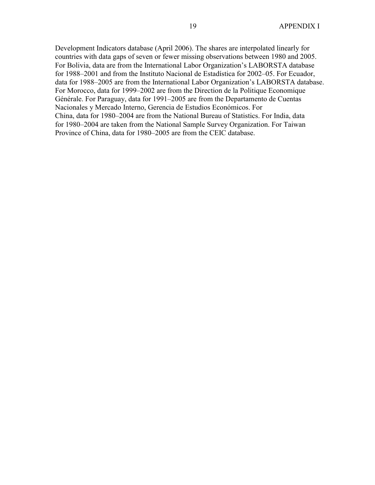Development Indicators database (April 2006). The shares are interpolated linearly for countries with data gaps of seven or fewer missing observations between 1980 and 2005. For Bolivia, data are from the International Labor Organization's LABORSTA database for 1988–2001 and from the Instituto Nacional de Estadística for 2002–05. For Ecuador, data for 1988–2005 are from the International Labor Organization's LABORSTA database. For Morocco, data for 1999–2002 are from the Direction de la Politique Economique Générale. For Paraguay, data for 1991–2005 are from the Departamento de Cuentas Nacionales y Mercado Interno, Gerencia de Estudios Económicos. For China, data for 1980–2004 are from the National Bureau of Statistics. For India, data for 1980–2004 are taken from the National Sample Survey Organization. For Taiwan Province of China, data for 1980–2005 are from the CEIC database.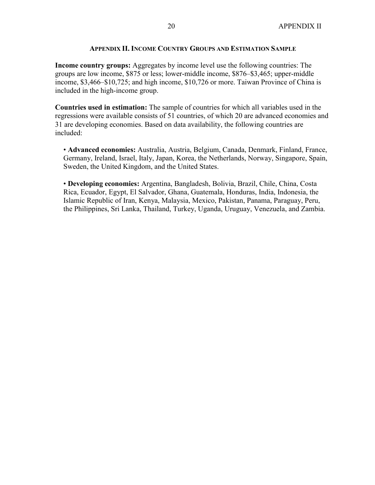#### **APPENDIX II. INCOME COUNTRY GROUPS AND ESTIMATION SAMPLE**

**Income country groups:** Aggregates by income level use the following countries: The groups are low income, \$875 or less; lower-middle income, \$876–\$3,465; upper-middle income, \$3,466–\$10,725; and high income, \$10,726 or more. Taiwan Province of China is included in the high-income group.

**Countries used in estimation:** The sample of countries for which all variables used in the regressions were available consists of 51 countries, of which 20 are advanced economies and 31 are developing economies. Based on data availability, the following countries are included:

• **Advanced economies:** Australia, Austria, Belgium, Canada, Denmark, Finland, France, Germany, Ireland, Israel, Italy, Japan, Korea, the Netherlands, Norway, Singapore, Spain, Sweden, the United Kingdom, and the United States.

• **Developing economies:** Argentina, Bangladesh, Bolivia, Brazil, Chile, China, Costa Rica, Ecuador, Egypt, El Salvador, Ghana, Guatemala, Honduras, India, Indonesia, the Islamic Republic of Iran, Kenya, Malaysia, Mexico, Pakistan, Panama, Paraguay, Peru, the Philippines, Sri Lanka, Thailand, Turkey, Uganda, Uruguay, Venezuela, and Zambia.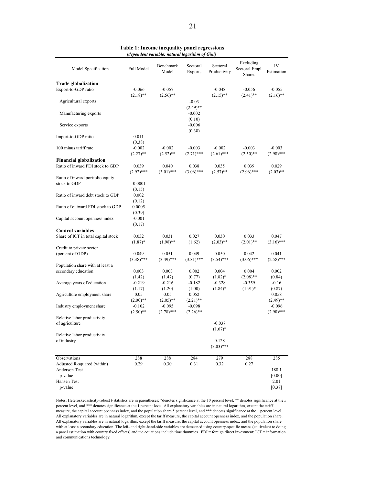| Model Specification                 | Full Model                 | Benchmark<br>Model       | Sectoral<br>Exports               | Sectoral<br>Productivity | Excluding<br>Sectoral Empl.<br><b>Shares</b> | IV<br>Estimation         |
|-------------------------------------|----------------------------|--------------------------|-----------------------------------|--------------------------|----------------------------------------------|--------------------------|
| <b>Trade globalization</b>          |                            |                          |                                   |                          |                                              |                          |
| Export-to-GDP ratio                 | $-0.066$<br>$(2.18)$ **    | $-0.057$<br>$(2.56)$ **  |                                   | $-0.048$<br>$(2.15)$ **  | $-0.056$<br>$(2.41)$ **                      | $-0.055$<br>$(2.16)$ **  |
| Agricultural exports                |                            |                          | $-0.03$                           |                          |                                              |                          |
| Manufacturing exports               |                            |                          | $(2.49)$ **<br>$-0.002$<br>(0.10) |                          |                                              |                          |
| Service exports                     |                            |                          | $-0.006$<br>(0.38)                |                          |                                              |                          |
| Import-to-GDP ratio                 | 0.011<br>(0.38)            |                          |                                   |                          |                                              |                          |
| 100 minus tariff rate               | $-0.002$<br>$(2.27)$ **    | $-0.002$<br>$(2.52)$ **  | $-0.003$<br>$(2.71)$ ***          | $-0.002$<br>$(2.61)$ *** | $-0.003$<br>$(2.50)$ **                      | $-0.003$<br>$(2.98)$ *** |
| <b>Financial globalization</b>      |                            |                          |                                   |                          |                                              |                          |
| Ratio of inward FDI stock to GDP    | 0.039<br>$(2.92)$ ***      | 0.040<br>$(3.01)$ ***    | 0.038<br>$(3.06)$ ***             | 0.035<br>$(2.57)$ **     | 0.039<br>$(2.96)$ ***                        | 0.029<br>$(2.03)$ **     |
|                                     |                            |                          |                                   |                          |                                              |                          |
| Ratio of inward portfolio equity    |                            |                          |                                   |                          |                                              |                          |
| stock to GDP                        | $-0.0001$                  |                          |                                   |                          |                                              |                          |
| Ratio of inward debt stock to GDP   | (0.15)<br>0.002            |                          |                                   |                          |                                              |                          |
| Ratio of outward FDI stock to GDP   | (0.12)<br>0.0005<br>(0.39) |                          |                                   |                          |                                              |                          |
| Capital account openness index      | $-0.001$<br>(0.17)         |                          |                                   |                          |                                              |                          |
| <b>Control variables</b>            |                            |                          |                                   |                          |                                              |                          |
| Share of ICT in total capital stock | 0.032<br>$(1.87)^*$        | 0.031<br>$(1.98)$ **     | 0.027<br>(1.62)                   | 0.030<br>$(2.03)$ **     | 0.033<br>$(2.01)$ **                         | 0.047<br>$(3.16)$ ***    |
| Credit to private sector            |                            |                          |                                   |                          |                                              |                          |
| (percent of GDP)                    | 0.049<br>$(3.38)$ ***      | 0.051<br>$(3.49)$ ***    | 0.049<br>$(3.81)$ ***             | 0.050<br>$(3.54)$ ***    | 0.042<br>$(3.06)$ ***                        | 0.041<br>$(2.58)$ ***    |
| Population share with at least a    |                            |                          |                                   |                          |                                              |                          |
| secondary education                 | 0.003                      | 0.003                    | 0.002                             | 0.004                    | 0.004                                        | 0.002                    |
|                                     | (1.42)                     | (1.47)                   | (0.77)                            | $(1.82)$ *               | $(2.08)$ **                                  | (0.84)                   |
| Average years of education          | $-0.219$                   | $-0.216$                 | $-0.182$                          | $-0.328$                 | $-0.359$                                     | $-0.16$                  |
|                                     | (1.17)                     | (1.20)                   | (1.00)                            | $(1.84)$ <sup>*</sup>    | $(1.91)^*$                                   | (0.87)                   |
| Agriculture employment share        | 0.05                       | 0.05                     | 0.052                             |                          |                                              | 0.058                    |
|                                     | $(2.00)$ **                | $(2.05)$ **              | $(2.21)$ **                       |                          |                                              | $(2.49)$ **              |
| Industry employment share           | $-0.102$<br>$(2.50)$ **    | $-0.095$<br>$(2.78)$ *** | $-0.098$<br>$(2.26)$ **           |                          |                                              | $-0.096$<br>$(2.90)$ *** |
| Relative labor productivity         |                            |                          |                                   |                          |                                              |                          |
| of agriculture                      |                            |                          |                                   | $-0.037$<br>$(1.67)^*$   |                                              |                          |
| Relative labor productivity         |                            |                          |                                   |                          |                                              |                          |
| of industry                         |                            |                          |                                   | 0.128<br>$(3.03)$ ***    |                                              |                          |
| Observations                        | 288                        | 288                      | 284                               | 279                      | 288                                          | 285                      |
| Adjusted R-squared (within)         | 0.29                       | 0.30                     | 0.31                              | 0.32                     | 0.27                                         |                          |
| Anderson Test                       |                            |                          |                                   |                          |                                              | 188.1                    |
|                                     |                            |                          |                                   |                          |                                              |                          |
| p-value<br>Hansen Test              |                            |                          |                                   |                          |                                              | [0.00]                   |
| p-value                             |                            |                          |                                   |                          |                                              | 2.01<br>[0.37]           |
|                                     |                            |                          |                                   |                          |                                              |                          |

| Table 1: Income inequality panel regressions    |
|-------------------------------------------------|
| (dependent variable: natural logarithm of Gini) |

Notes: Heteroskedasticity-robust t-statistics are in parentheses; \*denotes significance at the 10 percent level, \*\* denotes significance at the 5 percent level, and \*\*\* denotes significance at the 1 percent level. All explanatory variables are in natural logarithm, except the tariff measure, the capital account openness index, and the population share 5 percent level, and \*\*\* denotes significance at the 1 percent level. All explanatory variables are in natural logarithm, except the tariff measure, the capital account openness index, and the population share. All explanatory variables are in natural logarithm, except the tariff measure, the capital account openness index, and the population share with at least a secondary education. The left- and right-hand-side variables are demeaned using country-specific means (equivalent to doing a panel estimation with country fixed effects) and the equations include time dummies. FDI = foreign direct investment; ICT = information and communications technology.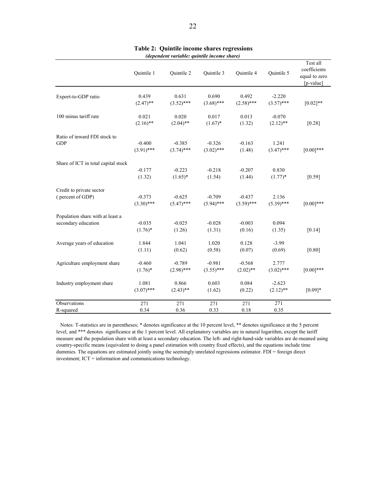|                                                         | Quintile 1               | Quintile 2               | Quintile 3               | Quintile 4               | Quintile 5               | Test all<br>coefficients<br>equal to zero<br>[p-value] |
|---------------------------------------------------------|--------------------------|--------------------------|--------------------------|--------------------------|--------------------------|--------------------------------------------------------|
| Export-to-GDP ratio                                     | 0.439<br>$(2.47)$ **     | 0.631<br>$(3.52)$ ***    | 0.690<br>$(3.68)$ ***    | 0.492<br>$(2.58)$ ***    | $-2.220$<br>$(3.57)$ *** | $[0.02]$ **                                            |
| 100 minus tariff rate                                   | 0.021<br>$(2.16)$ **     | 0.020<br>$(2.04)$ **     | 0.017<br>$(1.67)^*$      | 0.013<br>(1.32)          | $-0.070$<br>$(2.12)$ **  | [0.28]                                                 |
| Ratio of inward FDI stock to<br><b>GDP</b>              | $-0.400$<br>$(3.91)$ *** | $-0.385$<br>$(3.74)$ *** | $-0.326$<br>$(3.02)$ *** | $-0.163$<br>(1.48)       | 1.241<br>$(3.47)$ ***    | $[0.00]$ ***                                           |
| Share of ICT in total capital stock                     | $-0.177$<br>(1.32)       | $-0.223$<br>$(1.65)^*$   | $-0.218$<br>(1.54)       | $-0.207$<br>(1.44)       | 0.830<br>$(1.77)*$       | [0.59]                                                 |
| Credit to private sector<br>(percent of GDP)            | $-0.373$<br>$(3.30)$ *** | $-0.625$<br>$(5.47)$ *** | $-0.709$<br>$(5.94)$ *** | $-0.437$<br>$(3.59)$ *** | 2.136<br>$(5.39)$ ***    | $[0.00]$ ***                                           |
| Population share with at least a<br>secondary education | $-0.035$<br>$(1.76)^*$   | $-0.025$<br>(1.26)       | $-0.028$<br>(1.31)       | $-0.003$<br>(0.16)       | 0.094<br>(1.35)          | $[0.14]$                                               |
| Average years of education                              | 1.844<br>(1.11)          | 1.041<br>(0.62)          | 1.020<br>(0.58)          | 0.128<br>(0.07)          | $-3.99$<br>(0.69)        | [0.80]                                                 |
| Agriculture employment share                            | $-0.460$<br>$(1.76)^*$   | $-0.789$<br>$(2.98)$ *** | $-0.981$<br>$(3.55)$ *** | $-0.568$<br>$(2.02)$ **  | 2.777<br>$(3.02)$ ***    | $[0.00]$ ***                                           |
| Industry employment share                               | 1.081<br>$(3.07)$ ***    | 0.866<br>$(2.43)$ **     | 0.603<br>(1.62)          | 0.084<br>(0.22)          | $-2.623$<br>$(2.12)$ **  | $[0.09]*$                                              |
| Observations<br>R-squared                               | 271<br>0.34              | 271<br>0.36              | 271<br>0.33              | 271<br>0.18              | 271<br>0.35              |                                                        |

**Table 2: Quintile income shares regressions** *(dependent variable: quintile income share)*

 Notes: T-statistics are in parentheses; \* denotes significance at the 10 percent level, \*\* denotes significance at the 5 percent level, and \*\*\* denotes significance at the 1 percent level. All explanatory variables are in natural logarithm, except the tariff measure and the population share with at least a secondary education. The left- and right-hand-side variables are de-meaned using country-specific means (equivalent to doing a panel estimation with country fixed effects), and the equations include time dummies. The equations are estimated jointly using the seemingly unrelated regressions estimator. FDI = foreign direct investment; ICT = information and communications technology.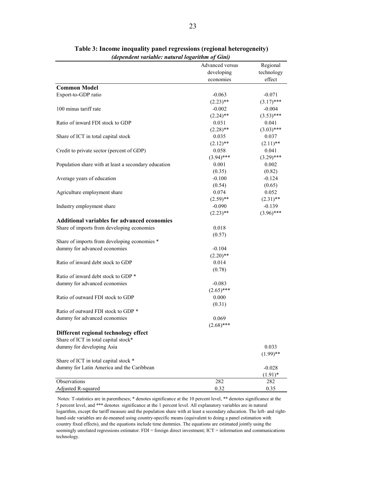|                                                      | Advanced versus | Regional     |
|------------------------------------------------------|-----------------|--------------|
|                                                      | developing      | technology   |
|                                                      | economies       | effect       |
| <b>Common Model</b>                                  |                 |              |
| Export-to-GDP ratio                                  | $-0.063$        | $-0.071$     |
|                                                      | $(2.23)$ **     | $(3.17)$ *** |
| 100 minus tariff rate                                | $-0.002$        | $-0.004$     |
|                                                      | $(2.24)$ **     | $(3.53)$ *** |
| Ratio of inward FDI stock to GDP                     | 0.031           | 0.041        |
|                                                      | $(2.28)$ **     | $(3.03)$ *** |
| Share of ICT in total capital stock                  | 0.035           | 0.037        |
|                                                      | $(2.12)$ **     | $(2.11)$ **  |
| Credit to private sector (percent of GDP)            | 0.058           | 0.041        |
|                                                      | $(3.94)$ ***    | $(3.29)$ *** |
| Population share with at least a secondary education | 0.001           | 0.002        |
|                                                      | (0.35)          | (0.82)       |
| Average years of education                           | $-0.100$        | $-0.124$     |
|                                                      | (0.54)          | (0.65)       |
| Agriculture employment share                         | 0.074           | 0.052        |
|                                                      | $(2.59)$ **     | $(2.31)$ **  |
| Industry employment share                            | $-0.090$        | $-0.139$     |
|                                                      | $(2.23)$ **     | $(3.96)$ *** |
| <b>Additional variables for advanced economies</b>   |                 |              |
| Share of imports from developing economies           | 0.018           |              |
|                                                      | (0.57)          |              |
| Share of imports from developing economies *         |                 |              |
| dummy for advanced economies                         | $-0.104$        |              |
|                                                      | $(2.20)$ **     |              |
| Ratio of inward debt stock to GDP                    | 0.014           |              |
|                                                      | (0.78)          |              |
| Ratio of inward debt stock to GDP *                  |                 |              |
| dummy for advanced economies                         | $-0.083$        |              |
|                                                      | $(2.65)$ ***    |              |
| Ratio of outward FDI stock to GDP                    | 0.000           |              |
|                                                      | (0.31)          |              |
| Ratio of outward FDI stock to GDP *                  |                 |              |
| dummy for advanced economies                         | 0.069           |              |
|                                                      | $(2.68)$ ***    |              |
| Different regional technology effect                 |                 |              |
| Share of ICT in total capital stock*                 |                 |              |
| dummy for developing Asia                            |                 | 0.033        |
|                                                      |                 | $(1.99)$ **  |
| Share of ICT in total capital stock *                |                 |              |
| dummy for Latin America and the Caribbean            |                 | $-0.028$     |
|                                                      |                 | $(1.91)^*$   |
| Observations                                         | 282             | 282          |
| Adjusted R-squared                                   | 0.32            | 0.35         |

**Table 3: Income inequality panel regressions (regional heterogeneity)** *(dependent variable: natural logarithm of Gini)*

 Notes: T-statistics are in parentheses; \* denotes significance at the 10 percent level, \*\* denotes significance at the 5 percent level, and \*\*\* denotes significance at the 1 percent level. All explanatory variables are in natural logarithm, except the tariff measure and the population share with at least a secondary education. The left- and righthand-side variables are de-meaned using country-specific means (equivalent to doing a panel estimation with country fixed effects), and the equations include time dummies. The equations are estimated jointly using the seemingly unrelated regressions estimator. FDI = foreign direct investment; ICT = information and communications technology.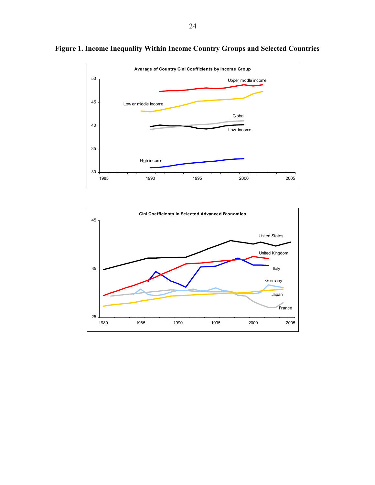

## **Figure 1. Income Inequality Within Income Country Groups and Selected Countries**

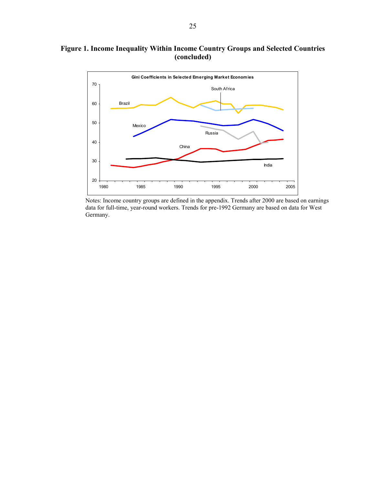## **Figure 1. Income Inequality Within Income Country Groups and Selected Countries (concluded)**



Notes: Income country groups are defined in the appendix. Trends after 2000 are based on earnings data for full-time, year-round workers. Trends for pre-1992 Germany are based on data for West Germany.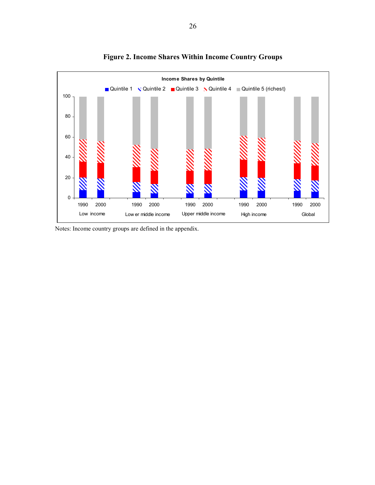

**Figure 2. Income Shares Within Income Country Groups** 

Notes: Income country groups are defined in the appendix.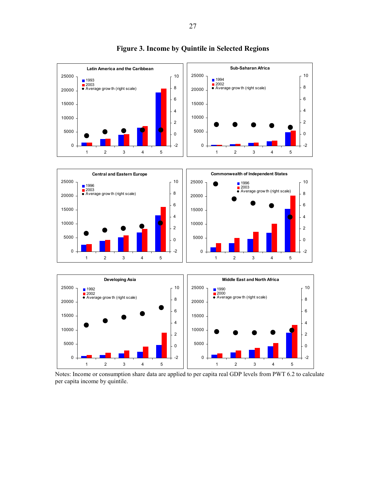

**Figure 3. Income by Quintile in Selected Regions** 

Notes: Income or consumption share data are applied to per capita real GDP levels from PWT 6.2 to calculate per capita income by quintile.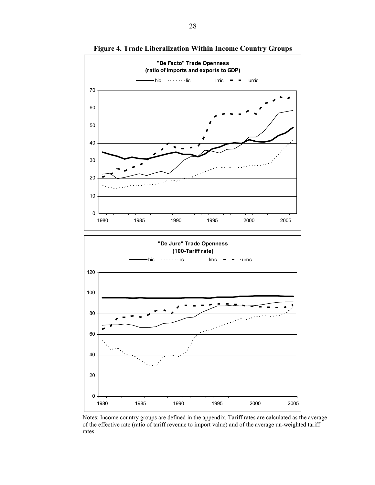

**Figure 4. Trade Liberalization Within Income Country Groups** 

Notes: Income country groups are defined in the appendix. Tariff rates are calculated as the average of the effective rate (ratio of tariff revenue to import value) and of the average un-weighted tariff rates.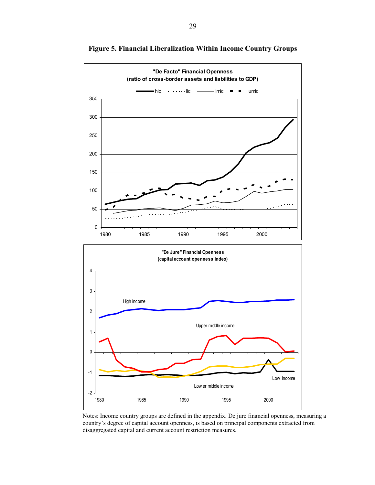

**Figure 5. Financial Liberalization Within Income Country Groups** 

Notes: Income country groups are defined in the appendix. De jure financial openness, measuring a country's degree of capital account openness, is based on principal components extracted from disaggregated capital and current account restriction measures.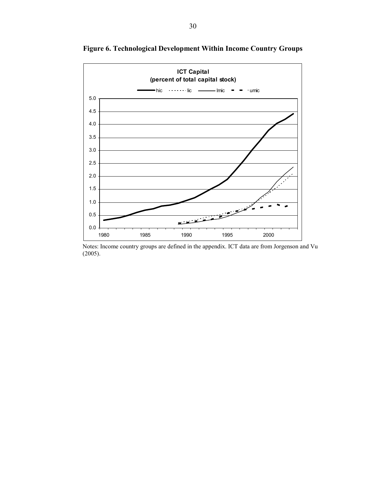

**Figure 6. Technological Development Within Income Country Groups** 

Notes: Income country groups are defined in the appendix. ICT data are from Jorgenson and Vu (2005).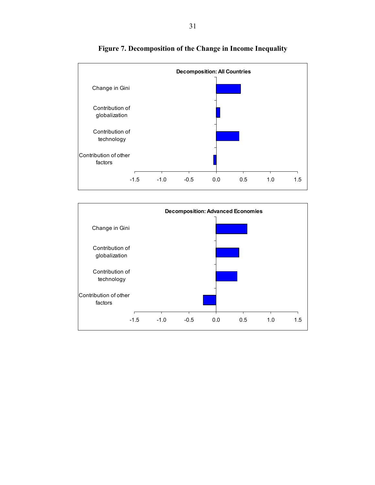

## **Figure 7. Decomposition of the Change in Income Inequality**

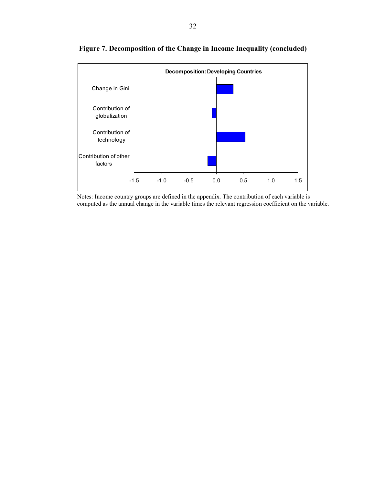

## **Figure 7. Decomposition of the Change in Income Inequality (concluded)**

Notes: Income country groups are defined in the appendix. The contribution of each variable is computed as the annual change in the variable times the relevant regression coefficient on the variable.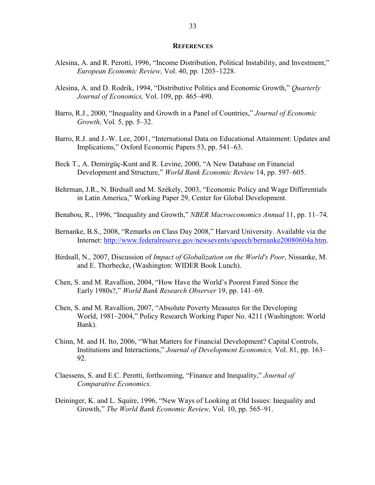#### **REFERENCES**

- Alesina, A. and R. Perotti, 1996, "Income Distribution, Political Instability, and Investment," *European Economic Review,* Vol. 40, pp. 1203–1228.
- Alesina, A. and D. Rodrik, 1994, "Distributive Politics and Economic Growth," *Quarterly Journal of Economics,* Vol. 109, pp. 465–490.
- Barro, R.J., 2000, "Inequality and Growth in a Panel of Countries," *Journal of Economic Growth,* Vol*.* 5, pp. 5–32.
- Barro, R.J. and J.-W. Lee, 2001, "International Data on Educational Attainment: Updates and Implications," Oxford Economic Papers 53, pp. 541–63.
- Beck T., A. Demirgüç-Kunt and R. Levine, 2000, "A New Database on Financial Development and Structure," *World Bank Economic Review* 14, pp. 597–605.
- Behrman, J.R., N. Birdsall and M. Székely, 2003, "Economic Policy and Wage Differentials in Latin America," Working Paper 29, Center for Global Development.
- Benabou, R., 1996, "Inequality and Growth," *NBER Macroeconomics Annual* 11, pp. 11–74.
- Bernanke, B.S., 2008, "Remarks on Class Day 2008," Harvard University. Available via the Internet: http://www.federalreserve.gov/newsevents/speech/bernanke20080604a.htm.
- Birdsall, N., 2007, Discussion of *Impact of Globalization on the World's Poor*, Nissanke, M. and E. Thorbecke, (Washington: WIDER Book Lunch).
- Chen, S. and M. Ravallion, 2004, "How Have the World's Poorest Fared Since the Early 1980s?," *World Bank Research Observer* 19, pp. 141–69.
- Chen, S. and M. Ravallion, 2007, "Absolute Poverty Measures for the Developing World, 1981–2004," Policy Research Working Paper No. 4211 (Washington: World Bank).
- Chinn, M. and H. Ito, 2006, "What Matters for Financial Development? Capital Controls, Institutions and Interactions," *Journal of Development Economics,* Vol. 81, pp. 163– 92.
- Claessens, S. and E.C. Perotti, forthcoming, "Finance and Inequality," *Journal of Comparative Economics*.
- Deininger, K. and L. Squire, 1996, "New Ways of Looking at Old Issues: Inequality and Growth," *The World Bank Economic Review,* Vol. 10, pp. 565–91.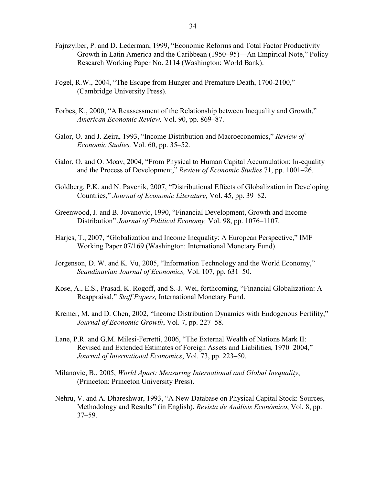- Fajnzylber, P. and D. Lederman, 1999, "Economic Reforms and Total Factor Productivity Growth in Latin America and the Caribbean (1950–95)—An Empirical Note," Policy Research Working Paper No. 2114 (Washington: World Bank).
- Fogel, R.W., 2004, "The Escape from Hunger and Premature Death, 1700-2100," (Cambridge University Press).
- Forbes, K., 2000, "A Reassessment of the Relationship between Inequality and Growth," *American Economic Review,* Vol. 90, pp. 869–87.
- Galor, O. and J. Zeira, 1993, "Income Distribution and Macroeconomics," *Review of Economic Studies,* Vol. 60, pp. 35–52.
- Galor, O. and O. Moav, 2004, "From Physical to Human Capital Accumulation: In-equality and the Process of Development," *Review of Economic Studies* 71, pp. 1001–26.
- Goldberg, P.K. and N. Pavcnik, 2007, "Distributional Effects of Globalization in Developing Countries," *Journal of Economic Literature,* Vol. 45, pp. 39–82.
- Greenwood, J. and B. Jovanovic, 1990, "Financial Development, Growth and Income Distribution" *Journal of Political Economy,* Vol. 98, pp. 1076–1107.
- Harjes, T., 2007, "Globalization and Income Inequality: A European Perspective," IMF Working Paper 07/169 (Washington: International Monetary Fund).
- Jorgenson, D. W. and K. Vu, 2005, "Information Technology and the World Economy," *Scandinavian Journal of Economics,* Vol. 107, pp. 631–50.
- Kose, A., E.S., Prasad, K. Rogoff, and S.-J. Wei, forthcoming, "Financial Globalization: A Reappraisal," *Staff Papers,* International Monetary Fund.
- Kremer, M. and D. Chen, 2002, "Income Distribution Dynamics with Endogenous Fertility," *Journal of Economic Growth*, Vol. 7, pp. 227–58.
- Lane, P.R. and G.M. Milesi-Ferretti, 2006, "The External Wealth of Nations Mark II: Revised and Extended Estimates of Foreign Assets and Liabilities, 1970–2004," *Journal of International Economics*, Vol. 73, pp. 223–50.
- Milanovic, B., 2005, *World Apart: Measuring International and Global Inequality*, (Princeton: Princeton University Press).
- Nehru, V. and A. Dhareshwar, 1993, "A New Database on Physical Capital Stock: Sources, Methodology and Results" (in English), *Revista de Anàlisis Econòmico*, Vol*.* 8, pp. 37–59.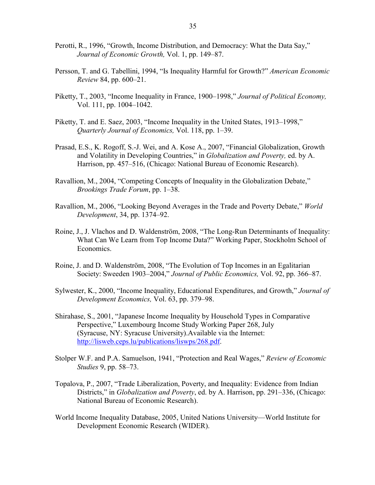- Perotti, R., 1996, "Growth, Income Distribution, and Democracy: What the Data Say," *Journal of Economic Growth,* Vol. 1, pp. 149–87.
- Persson, T. and G. Tabellini, 1994, "Is Inequality Harmful for Growth?" *American Economic Review* 84, pp. 600–21.
- Piketty, T., 2003, "Income Inequality in France, 1900–1998," *Journal of Political Economy,* Vol. 111, pp. 1004–1042.
- Piketty, T. and E. Saez, 2003, "Income Inequality in the United States, 1913–1998," *Quarterly Journal of Economics,* Vol. 118, pp. 1–39.
- Prasad, E.S., K. Rogoff, S.-J. Wei, and A. Kose A., 2007, "Financial Globalization, Growth and Volatility in Developing Countries," in *Globalization and Poverty,* ed. by A. Harrison, pp. 457–516, (Chicago: National Bureau of Economic Research).
- Ravallion, M., 2004, "Competing Concepts of Inequality in the Globalization Debate," *Brookings Trade Forum*, pp. 1–38.
- Ravallion, M., 2006, "Looking Beyond Averages in the Trade and Poverty Debate," *World Development*, 34, pp. 1374–92.
- Roine, J., J. Vlachos and D. Waldenström, 2008, "The Long-Run Determinants of Inequality: What Can We Learn from Top Income Data?" Working Paper, Stockholm School of Economics.
- Roine, J. and D. Waldenström, 2008, "The Evolution of Top Incomes in an Egalitarian Society: Sweeden 1903–2004," *Journal of Public Economics,* Vol. 92, pp. 366–87.
- Sylwester, K., 2000, "Income Inequality, Educational Expenditures, and Growth," *Journal of Development Economics,* Vol. 63, pp. 379–98.
- Shirahase, S., 2001, "Japanese Income Inequality by Household Types in Comparative Perspective," Luxembourg Income Study Working Paper 268, July (Syracuse, NY: Syracuse University).Available via the Internet: http://lisweb.ceps.lu/publications/liswps/268.pdf.
- Stolper W.F. and P.A. Samuelson, 1941, "Protection and Real Wages," *Review of Economic Studies* 9, pp. 58–73.
- Topalova, P., 2007, "Trade Liberalization, Poverty, and Inequality: Evidence from Indian Districts," in *Globalization and Poverty*, ed. by A. Harrison, pp. 291–336, (Chicago: National Bureau of Economic Research).
- World Income Inequality Database, 2005, United Nations University—World Institute for Development Economic Research (WIDER).